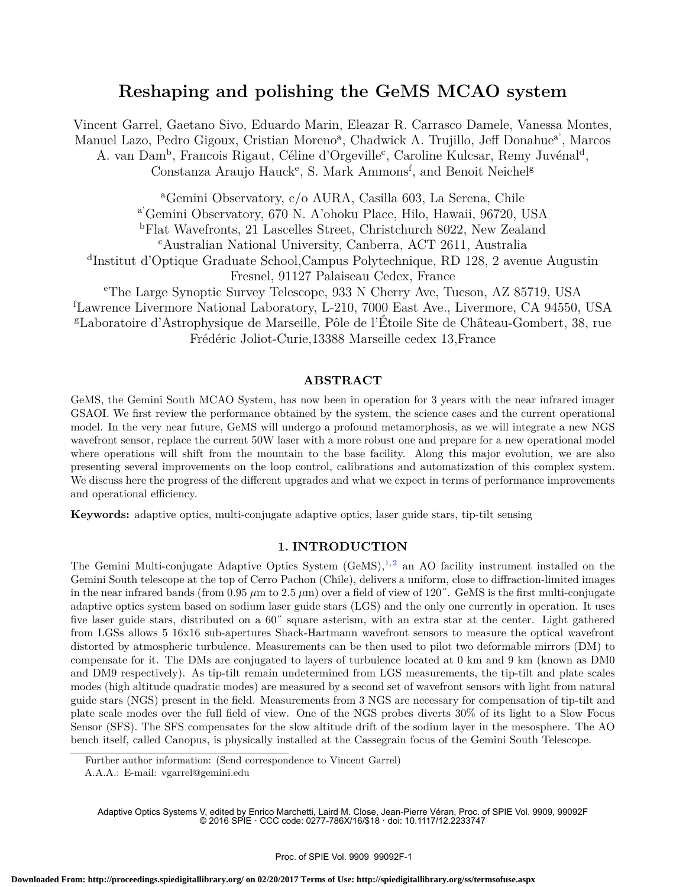# **Reshaping and polishing the GeMS MCAO system**

Vincent Garrel, Gaetano Sivo, Eduardo Marin, Eleazar R. Carrasco Damele, Vanessa Montes, Manuel Lazo, Pedro Gigoux, Cristian Moreno<sup>a</sup>, Chadwick A. Trujillo, Jeff Donahue<sup>a'</sup>, Marcos A. van Dam<sup>b</sup>, Francois Rigaut, Céline d'Orgeville<sup>c</sup>, Caroline Kulcsar, Remy Juvénal<sup>d</sup>, Constanza Araujo Hauck<sup>e</sup>, S. Mark Ammons<sup>f</sup>, and Benoit Neichel<sup>g</sup>

<sup>a</sup>Gemini Observatory, c/o AURA, Casilla 603, La Serena, Chile a'Gemini Observatory, 670 N. A'ohoku Place, Hilo, Hawaii, 96720, USA <sup>b</sup>Flat Wavefronts, 21 Lascelles Street, Christchurch 8022, New Zealand <sup>c</sup>Australian National University, Canberra, ACT 2611, Australia d Institut d'Optique Graduate School,Campus Polytechnique, RD 128, 2 avenue Augustin Fresnel, 91127 Palaiseau Cedex, France <sup>e</sup>The Large Synoptic Survey Telescope, 933 N Cherry Ave, Tucson, AZ 85719, USA <sup>f</sup>Lawrence Livermore National Laboratory, L-210, 7000 East Ave., Livermore, CA 94550, USA <sup>g</sup>Laboratoire d'Astrophysique de Marseille, Pôle de l'Étoile Site de Château-Gombert, 38, rue

Frédéric Joliot-Curie,13388 Marseille cedex 13,France

# **ABSTRACT**

GeMS, the Gemini South MCAO System, has now been in operation for 3 years with the near infrared imager GSAOI. We first review the performance obtained by the system, the science cases and the current operational model. In the very near future, GeMS will undergo a profound metamorphosis, as we will integrate a new NGS wavefront sensor, replace the current 50W laser with a more robust one and prepare for a new operational model where operations will shift from the mountain to the base facility. Along this major evolution, we are also presenting several improvements on the loop control, calibrations and automatization of this complex system. We discuss here the progress of the different upgrades and what we expect in terms of performance improvements and operational efficiency.

**Keywords:** adaptive optics, multi-conjugate adaptive optics, laser guide stars, tip-tilt sensing

## **1. INTRODUCTION**

The Gemini Multi-conjugate Adaptive Optics System  $(GeMS)$ ,<sup>1,2</sup> an AO facility instrument installed on the Gemini South telescope at the top of Cerro Pachon (Chile), delivers a uniform, close to diffraction-limited images in the near infrared bands (from 0.95 *µ*m to 2.5 *µ*m) over a field of view of 120˝. GeMS is the first multi-conjugate adaptive optics system based on sodium laser guide stars (LGS) and the only one currently in operation. It uses five laser guide stars, distributed on a 60˝ square asterism, with an extra star at the center. Light gathered from LGSs allows 5 16x16 sub-apertures Shack-Hartmann wavefront sensors to measure the optical wavefront distorted by atmospheric turbulence. Measurements can be then used to pilot two deformable mirrors (DM) to compensate for it. The DMs are conjugated to layers of turbulence located at 0 km and 9 km (known as DM0 and DM9 respectively). As tip-tilt remain undetermined from LGS measurements, the tip-tilt and plate scales modes (high altitude quadratic modes) are measured by a second set of wavefront sensors with light from natural guide stars (NGS) present in the field. Measurements from 3 NGS are necessary for compensation of tip-tilt and plate scale modes over the full field of view. One of the NGS probes diverts 30% of its light to a Slow Focus Sensor (SFS). The SFS compensates for the slow altitude drift of the sodium layer in the mesosphere. The AO bench itself, called Canopus, is physically installed at the Cassegrain focus of the Gemini South Telescope.

Adaptive Optics Systems V, edited by Enrico Marchetti, Laird M. Close, Jean-Pierre Véran, Proc. of SPIE Vol. 9909, 99092F © 2016 SPIE · CCC code: 0277-786X/16/\$18 · doi: 10.1117/12.2233747

Further author information: (Send correspondence to Vincent Garrel)

A.A.A.: E-mail: vgarrel@gemini.edu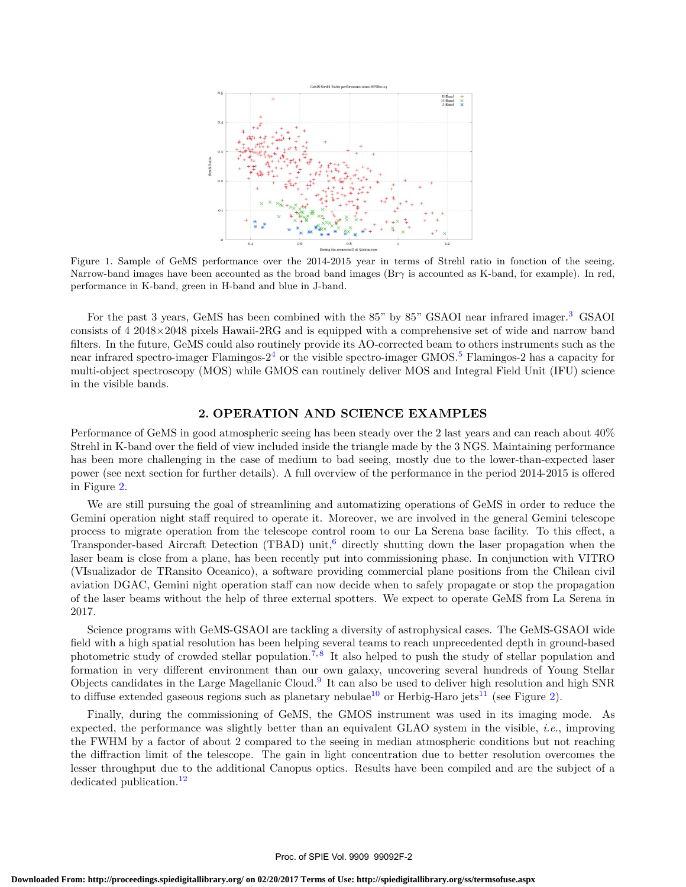

Figure 1. Sample of GeMS performance over the 2014-2015 year in terms of Strehl ratio in fonction of the seeing. Narrow-band images have been accounted as the broad band images (Br*γ* is accounted as K-band, for example). In red, performance in K-band, green in H-band and blue in J-band.

For the past 3 years, GeMS has been combined with the 85" by 85" GSAOI near infrared imager.<sup>3</sup> GSAOI consists of 4 2048*×*2048 pixels Hawaii-2RG and is equipped with a comprehensive set of wide and narrow band filters. In the future, GeMS could also routinely provide its AO-corrected beam to others instruments such as the near infrared spectro-imager Flamingos- $2<sup>4</sup>$  or the visible spectro-imager GMOS.<sup>5</sup> Flamingos-2 has a capacity for multi-object spectroscopy (MOS) while GMOS can routinely deliver MOS and Integral Field Unit (IFU) science in the visible bands.

# **2. OPERATION AND SCIENCE EXAMPLES**

Performance of GeMS in good atmospheric seeing has been steady over the 2 last years and can reach about 40% Strehl in K-band over the field of view included inside the triangle made by the 3 NGS. Maintaining performance has been more challenging in the case of medium to bad seeing, mostly due to the lower-than-expected laser power (see next section for further details). A full overview of the performance in the period 2014-2015 is offered in Figure 2.

We are still pursuing the goal of streamlining and automatizing operations of GeMS in order to reduce the Gemini operation night staff required to operate it. Moreover, we are involved in the general Gemini telescope process to migrate operation from the telescope control room to our La Serena base facility. To this effect, a Transponder-based Aircraft Detection (TBAD) unit,<sup>6</sup> directly shutting down the laser propagation when the laser beam is close from a plane, has been recently put into commissioning phase. In conjunction with VITRO (VIsualizador de TRansito Oceanico), a software providing commercial plane positions from the Chilean civil aviation DGAC, Gemini night operation staff can now decide when to safely propagate or stop the propagation of the laser beams without the help of three external spotters. We expect to operate GeMS from La Serena in 2017.

Science programs with GeMS-GSAOI are tackling a diversity of astrophysical cases. The GeMS-GSAOI wide field with a high spatial resolution has been helping several teams to reach unprecedented depth in ground-based photometric study of crowded stellar population.<sup>7,8</sup> It also helped to push the study of stellar population and formation in very different environment than our own galaxy, uncovering several hundreds of Young Stellar Objects candidates in the Large Magellanic Cloud.<sup>9</sup> It can also be used to deliver high resolution and high SNR to diffuse extended gaseous regions such as planetary nebulae<sup>10</sup> or Herbig-Haro jets<sup>11</sup> (see Figure 2).

Finally, during the commissioning of GeMS, the GMOS instrument was used in its imaging mode. As expected, the performance was slightly better than an equivalent GLAO system in the visible, *i.e.*, improving the FWHM by a factor of about 2 compared to the seeing in median atmospheric conditions but not reaching the diffraction limit of the telescope. The gain in light concentration due to better resolution overcomes the lesser throughput due to the additional Canopus optics. Results have been compiled and are the subject of a dedicated publication.<sup>12</sup>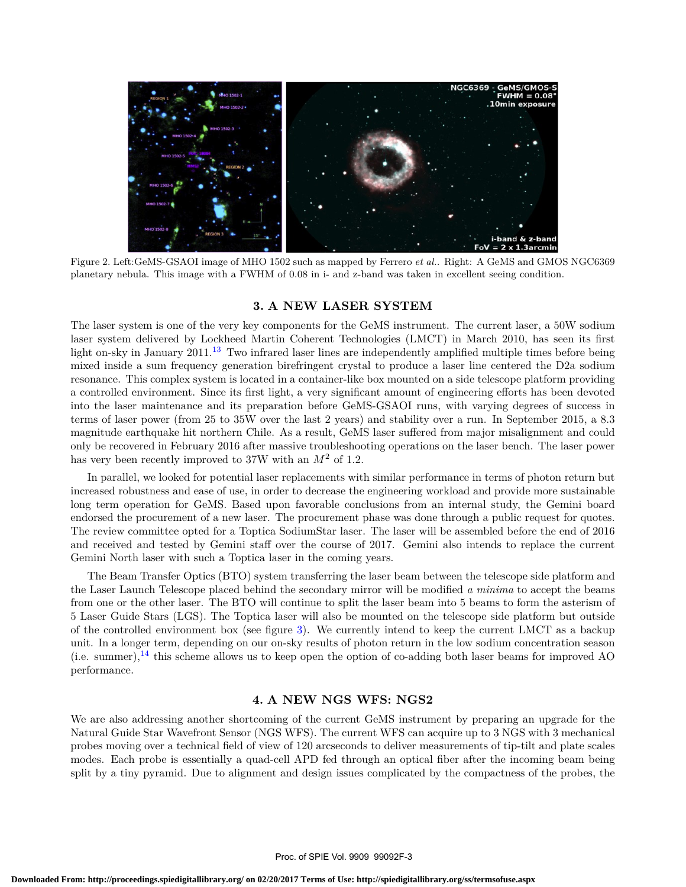

Figure 2. Left:GeMS-GSAOI image of MHO 1502 such as mapped by Ferrero *et al.*. Right: A GeMS and GMOS NGC6369 planetary nebula. This image with a FWHM of 0.08 in i- and z-band was taken in excellent seeing condition.

## **3. A NEW LASER SYSTEM**

The laser system is one of the very key components for the GeMS instrument. The current laser, a 50W sodium laser system delivered by Lockheed Martin Coherent Technologies (LMCT) in March 2010, has seen its first light on-sky in January 2011.<sup>13</sup> Two infrared laser lines are independently amplified multiple times before being mixed inside a sum frequency generation birefringent crystal to produce a laser line centered the D2a sodium resonance. This complex system is located in a container-like box mounted on a side telescope platform providing a controlled environment. Since its first light, a very significant amount of engineering efforts has been devoted into the laser maintenance and its preparation before GeMS-GSAOI runs, with varying degrees of success in terms of laser power (from 25 to 35W over the last 2 years) and stability over a run. In September 2015, a 8.3 magnitude earthquake hit northern Chile. As a result, GeMS laser suffered from major misalignment and could only be recovered in February 2016 after massive troubleshooting operations on the laser bench. The laser power has very been recently improved to 37W with an  $M^2$  of 1.2.

In parallel, we looked for potential laser replacements with similar performance in terms of photon return but increased robustness and ease of use, in order to decrease the engineering workload and provide more sustainable long term operation for GeMS. Based upon favorable conclusions from an internal study, the Gemini board endorsed the procurement of a new laser. The procurement phase was done through a public request for quotes. The review committee opted for a Toptica SodiumStar laser. The laser will be assembled before the end of 2016 and received and tested by Gemini staff over the course of 2017. Gemini also intends to replace the current Gemini North laser with such a Toptica laser in the coming years.

The Beam Transfer Optics (BTO) system transferring the laser beam between the telescope side platform and the Laser Launch Telescope placed behind the secondary mirror will be modified *a minima* to accept the beams from one or the other laser. The BTO will continue to split the laser beam into 5 beams to form the asterism of 5 Laser Guide Stars (LGS). The Toptica laser will also be mounted on the telescope side platform but outside of the controlled environment box (see figure 3). We currently intend to keep the current LMCT as a backup unit. In a longer term, depending on our on-sky results of photon return in the low sodium concentration season (i.e. summer),<sup>14</sup> this scheme allows us to keep open the option of co-adding both laser beams for improved AO performance.

### **4. A NEW NGS WFS: NGS2**

We are also addressing another shortcoming of the current GeMS instrument by preparing an upgrade for the Natural Guide Star Wavefront Sensor (NGS WFS). The current WFS can acquire up to 3 NGS with 3 mechanical probes moving over a technical field of view of 120 arcseconds to deliver measurements of tip-tilt and plate scales modes. Each probe is essentially a quad-cell APD fed through an optical fiber after the incoming beam being split by a tiny pyramid. Due to alignment and design issues complicated by the compactness of the probes, the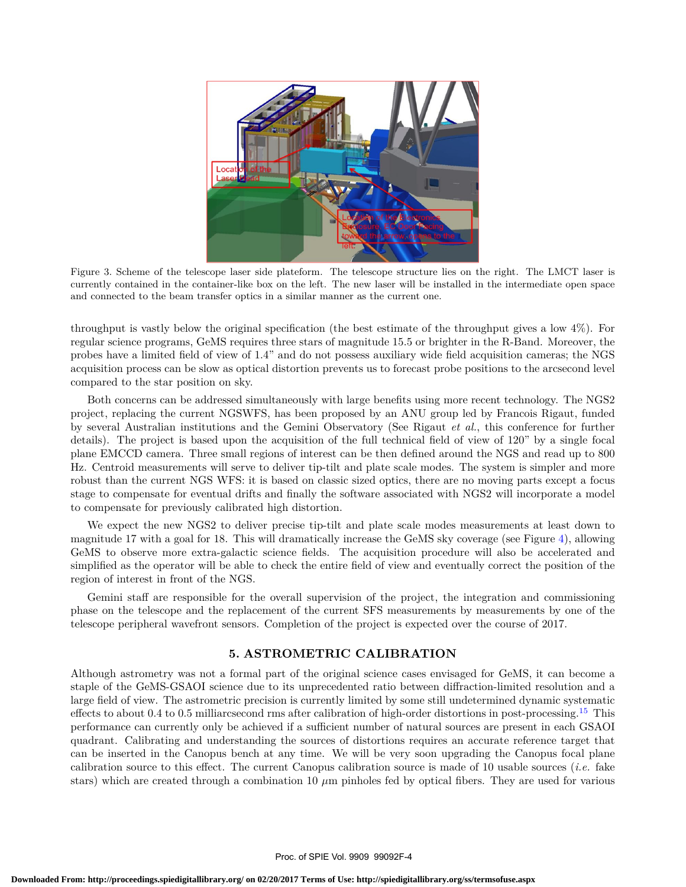

Figure 3. Scheme of the telescope laser side plateform. The telescope structure lies on the right. The LMCT laser is currently contained in the container-like box on the left. The new laser will be installed in the intermediate open space and connected to the beam transfer optics in a similar manner as the current one.

throughput is vastly below the original specification (the best estimate of the throughput gives a low 4%). For regular science programs, GeMS requires three stars of magnitude 15.5 or brighter in the R-Band. Moreover, the probes have a limited field of view of 1.4" and do not possess auxiliary wide field acquisition cameras; the NGS acquisition process can be slow as optical distortion prevents us to forecast probe positions to the arcsecond level compared to the star position on sky.

Both concerns can be addressed simultaneously with large benefits using more recent technology. The NGS2 project, replacing the current NGSWFS, has been proposed by an ANU group led by Francois Rigaut, funded by several Australian institutions and the Gemini Observatory (See Rigaut *et al.*, this conference for further details). The project is based upon the acquisition of the full technical field of view of 120" by a single focal plane EMCCD camera. Three small regions of interest can be then defined around the NGS and read up to 800 Hz. Centroid measurements will serve to deliver tip-tilt and plate scale modes. The system is simpler and more robust than the current NGS WFS: it is based on classic sized optics, there are no moving parts except a focus stage to compensate for eventual drifts and finally the software associated with NGS2 will incorporate a model to compensate for previously calibrated high distortion.

We expect the new NGS2 to deliver precise tip-tilt and plate scale modes measurements at least down to magnitude 17 with a goal for 18. This will dramatically increase the GeMS sky coverage (see Figure 4), allowing GeMS to observe more extra-galactic science fields. The acquisition procedure will also be accelerated and simplified as the operator will be able to check the entire field of view and eventually correct the position of the region of interest in front of the NGS.

Gemini staff are responsible for the overall supervision of the project, the integration and commissioning phase on the telescope and the replacement of the current SFS measurements by measurements by one of the telescope peripheral wavefront sensors. Completion of the project is expected over the course of 2017.

# **5. ASTROMETRIC CALIBRATION**

Although astrometry was not a formal part of the original science cases envisaged for GeMS, it can become a staple of the GeMS-GSAOI science due to its unprecedented ratio between diffraction-limited resolution and a large field of view. The astrometric precision is currently limited by some still undetermined dynamic systematic effects to about  $0.4$  to  $0.5$  milliarcsecond rms after calibration of high-order distortions in post-processing.<sup>15</sup> This performance can currently only be achieved if a sufficient number of natural sources are present in each GSAOI quadrant. Calibrating and understanding the sources of distortions requires an accurate reference target that can be inserted in the Canopus bench at any time. We will be very soon upgrading the Canopus focal plane calibration source to this effect. The current Canopus calibration source is made of 10 usable sources (*i.e.* fake stars) which are created through a combination 10 *µ*m pinholes fed by optical fibers. They are used for various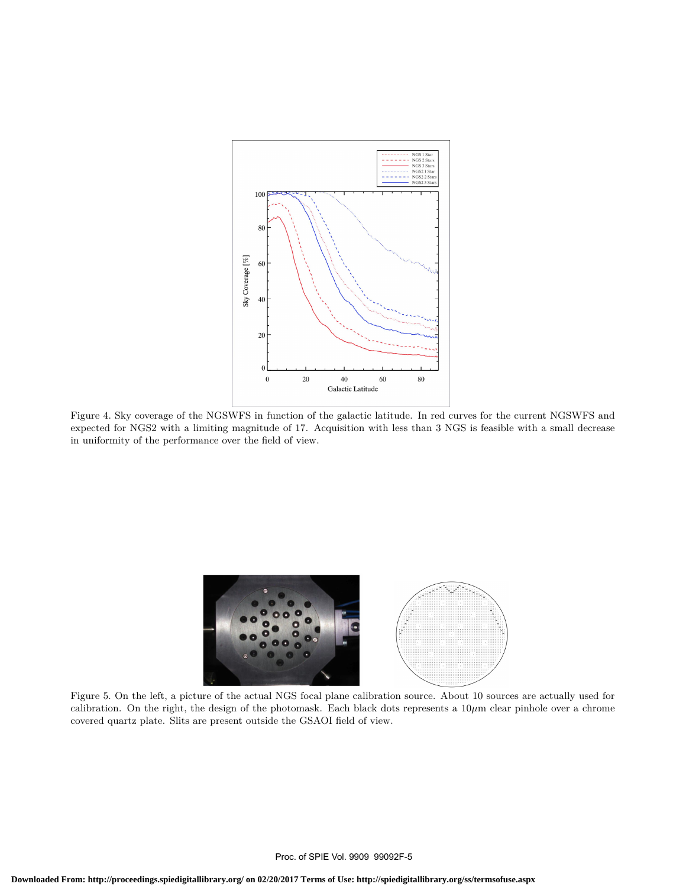

Figure 4. Sky coverage of the NGSWFS in function of the galactic latitude. In red curves for the current NGSWFS and expected for NGS2 with a limiting magnitude of 17. Acquisition with less than 3 NGS is feasible with a small decrease in uniformity of the performance over the field of view.



Figure 5. On the left, a picture of the actual NGS focal plane calibration source. About 10 sources are actually used for calibration. On the right, the design of the photomask. Each black dots represents a 10*µ*m clear pinhole over a chrome covered quartz plate. Slits are present outside the GSAOI field of view.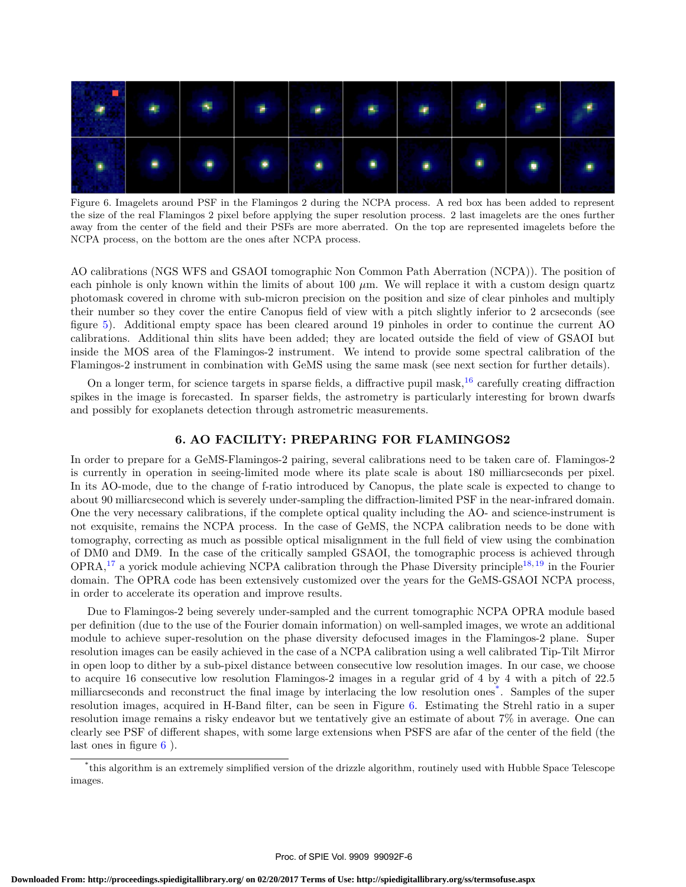

Figure 6. Imagelets around PSF in the Flamingos 2 during the NCPA process. A red box has been added to represent the size of the real Flamingos 2 pixel before applying the super resolution process. 2 last imagelets are the ones further away from the center of the field and their PSFs are more aberrated. On the top are represented imagelets before the NCPA process, on the bottom are the ones after NCPA process.

AO calibrations (NGS WFS and GSAOI tomographic Non Common Path Aberration (NCPA)). The position of each pinhole is only known within the limits of about  $100 \mu m$ . We will replace it with a custom design quartz photomask covered in chrome with sub-micron precision on the position and size of clear pinholes and multiply their number so they cover the entire Canopus field of view with a pitch slightly inferior to 2 arcseconds (see figure 5). Additional empty space has been cleared around 19 pinholes in order to continue the current AO calibrations. Additional thin slits have been added; they are located outside the field of view of GSAOI but inside the MOS area of the Flamingos-2 instrument. We intend to provide some spectral calibration of the Flamingos-2 instrument in combination with GeMS using the same mask (see next section for further details).

On a longer term, for science targets in sparse fields, a diffractive pupil mask, $^{16}$  carefully creating diffraction spikes in the image is forecasted. In sparser fields, the astrometry is particularly interesting for brown dwarfs and possibly for exoplanets detection through astrometric measurements.

## **6. AO FACILITY: PREPARING FOR FLAMINGOS2**

In order to prepare for a GeMS-Flamingos-2 pairing, several calibrations need to be taken care of. Flamingos-2 is currently in operation in seeing-limited mode where its plate scale is about 180 milliarcseconds per pixel. In its AO-mode, due to the change of f-ratio introduced by Canopus, the plate scale is expected to change to about 90 milliarcsecond which is severely under-sampling the diffraction-limited PSF in the near-infrared domain. One the very necessary calibrations, if the complete optical quality including the AO- and science-instrument is not exquisite, remains the NCPA process. In the case of GeMS, the NCPA calibration needs to be done with tomography, correcting as much as possible optical misalignment in the full field of view using the combination of DM0 and DM9. In the case of the critically sampled GSAOI, the tomographic process is achieved through  $OPRA$ ,<sup>17</sup> a yorick module achieving NCPA calibration through the Phase Diversity principle<sup>18,19</sup> in the Fourier domain. The OPRA code has been extensively customized over the years for the GeMS-GSAOI NCPA process, in order to accelerate its operation and improve results.

Due to Flamingos-2 being severely under-sampled and the current tomographic NCPA OPRA module based per definition (due to the use of the Fourier domain information) on well-sampled images, we wrote an additional module to achieve super-resolution on the phase diversity defocused images in the Flamingos-2 plane. Super resolution images can be easily achieved in the case of a NCPA calibration using a well calibrated Tip-Tilt Mirror in open loop to dither by a sub-pixel distance between consecutive low resolution images. In our case, we choose to acquire 16 consecutive low resolution Flamingos-2 images in a regular grid of 4 by 4 with a pitch of 22.5 milliarcseconds and reconstruct the final image by interlacing the low resolution ones\* . Samples of the super resolution images, acquired in H-Band filter, can be seen in Figure 6. Estimating the Strehl ratio in a super resolution image remains a risky endeavor but we tentatively give an estimate of about 7% in average. One can clearly see PSF of different shapes, with some large extensions when PSFS are afar of the center of the field (the last ones in figure  $6$  ).

<sup>\*</sup> this algorithm is an extremely simplified version of the drizzle algorithm, routinely used with Hubble Space Telescope images.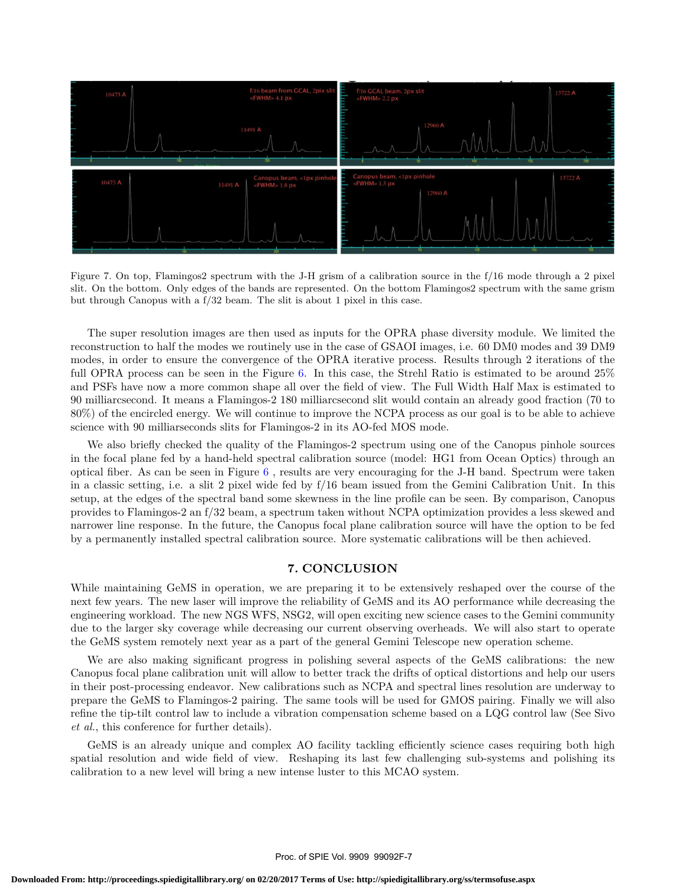

Figure 7. On top, Flamingos2 spectrum with the J-H grism of a calibration source in the f/16 mode through a 2 pixel slit. On the bottom. Only edges of the bands are represented. On the bottom Flamingos2 spectrum with the same grism but through Canopus with a f/32 beam. The slit is about 1 pixel in this case.

The super resolution images are then used as inputs for the OPRA phase diversity module. We limited the reconstruction to half the modes we routinely use in the case of GSAOI images, i.e. 60 DM0 modes and 39 DM9 modes, in order to ensure the convergence of the OPRA iterative process. Results through 2 iterations of the full OPRA process can be seen in the Figure 6. In this case, the Strehl Ratio is estimated to be around  $25\%$ and PSFs have now a more common shape all over the field of view. The Full Width Half Max is estimated to 90 milliarcsecond. It means a Flamingos-2 180 milliarcsecond slit would contain an already good fraction (70 to 80%) of the encircled energy. We will continue to improve the NCPA process as our goal is to be able to achieve science with 90 milliarseconds slits for Flamingos-2 in its AO-fed MOS mode.

We also briefly checked the quality of the Flamingos-2 spectrum using one of the Canopus pinhole sources in the focal plane fed by a hand-held spectral calibration source (model: HG1 from Ocean Optics) through an optical fiber. As can be seen in Figure 6 , results are very encouraging for the J-H band. Spectrum were taken in a classic setting, i.e. a slit 2 pixel wide fed by f/16 beam issued from the Gemini Calibration Unit. In this setup, at the edges of the spectral band some skewness in the line profile can be seen. By comparison, Canopus provides to Flamingos-2 an f/32 beam, a spectrum taken without NCPA optimization provides a less skewed and narrower line response. In the future, the Canopus focal plane calibration source will have the option to be fed by a permanently installed spectral calibration source. More systematic calibrations will be then achieved.

# **7. CONCLUSION**

While maintaining GeMS in operation, we are preparing it to be extensively reshaped over the course of the next few years. The new laser will improve the reliability of GeMS and its AO performance while decreasing the engineering workload. The new NGS WFS, NSG2, will open exciting new science cases to the Gemini community due to the larger sky coverage while decreasing our current observing overheads. We will also start to operate the GeMS system remotely next year as a part of the general Gemini Telescope new operation scheme.

We are also making significant progress in polishing several aspects of the GeMS calibrations: the new Canopus focal plane calibration unit will allow to better track the drifts of optical distortions and help our users in their post-processing endeavor. New calibrations such as NCPA and spectral lines resolution are underway to prepare the GeMS to Flamingos-2 pairing. The same tools will be used for GMOS pairing. Finally we will also refine the tip-tilt control law to include a vibration compensation scheme based on a LQG control law (See Sivo *et al.*, this conference for further details).

GeMS is an already unique and complex AO facility tackling efficiently science cases requiring both high spatial resolution and wide field of view. Reshaping its last few challenging sub-systems and polishing its calibration to a new level will bring a new intense luster to this MCAO system.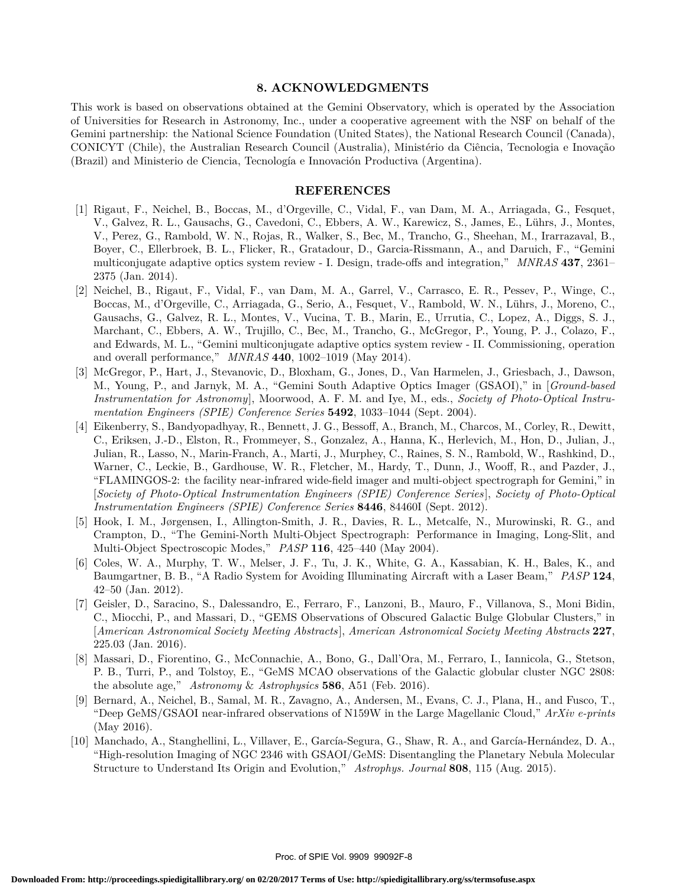#### **8. ACKNOWLEDGMENTS**

This work is based on observations obtained at the Gemini Observatory, which is operated by the Association of Universities for Research in Astronomy, Inc., under a cooperative agreement with the NSF on behalf of the Gemini partnership: the National Science Foundation (United States), the National Research Council (Canada), CONICYT (Chile), the Australian Research Council (Australia), Ministério da Ciência, Tecnologia e Inovação (Brazil) and Ministerio de Ciencia, Tecnología e Innovación Productiva (Argentina).

## **REFERENCES**

- [1] Rigaut, F., Neichel, B., Boccas, M., d'Orgeville, C., Vidal, F., van Dam, M. A., Arriagada, G., Fesquet, V., Galvez, R. L., Gausachs, G., Cavedoni, C., Ebbers, A. W., Karewicz, S., James, E., Lührs, J., Montes, V., Perez, G., Rambold, W. N., Rojas, R., Walker, S., Bec, M., Trancho, G., Sheehan, M., Irarrazaval, B., Boyer, C., Ellerbroek, B. L., Flicker, R., Gratadour, D., Garcia-Rissmann, A., and Daruich, F., "Gemini multiconjugate adaptive optics system review - I. Design, trade-offs and integration," *MNRAS* **437**, 2361– 2375 (Jan. 2014).
- [2] Neichel, B., Rigaut, F., Vidal, F., van Dam, M. A., Garrel, V., Carrasco, E. R., Pessev, P., Winge, C., Boccas, M., d'Orgeville, C., Arriagada, G., Serio, A., Fesquet, V., Rambold, W. N., Lührs, J., Moreno, C., Gausachs, G., Galvez, R. L., Montes, V., Vucina, T. B., Marin, E., Urrutia, C., Lopez, A., Diggs, S. J., Marchant, C., Ebbers, A. W., Trujillo, C., Bec, M., Trancho, G., McGregor, P., Young, P. J., Colazo, F., and Edwards, M. L., "Gemini multiconjugate adaptive optics system review - II. Commissioning, operation and overall performance," *MNRAS* **440**, 1002–1019 (May 2014).
- [3] McGregor, P., Hart, J., Stevanovic, D., Bloxham, G., Jones, D., Van Harmelen, J., Griesbach, J., Dawson, M., Young, P., and Jarnyk, M. A., "Gemini South Adaptive Optics Imager (GSAOI)," in [*Ground-based Instrumentation for Astronomy*], Moorwood, A. F. M. and Iye, M., eds., *Society of Photo-Optical Instrumentation Engineers (SPIE) Conference Series* **5492**, 1033–1044 (Sept. 2004).
- [4] Eikenberry, S., Bandyopadhyay, R., Bennett, J. G., Bessoff, A., Branch, M., Charcos, M., Corley, R., Dewitt, C., Eriksen, J.-D., Elston, R., Frommeyer, S., Gonzalez, A., Hanna, K., Herlevich, M., Hon, D., Julian, J., Julian, R., Lasso, N., Marin-Franch, A., Marti, J., Murphey, C., Raines, S. N., Rambold, W., Rashkind, D., Warner, C., Leckie, B., Gardhouse, W. R., Fletcher, M., Hardy, T., Dunn, J., Wooff, R., and Pazder, J., "FLAMINGOS-2: the facility near-infrared wide-field imager and multi-object spectrograph for Gemini," in [*Society of Photo-Optical Instrumentation Engineers (SPIE) Conference Series*], *Society of Photo-Optical Instrumentation Engineers (SPIE) Conference Series* **8446**, 84460I (Sept. 2012).
- [5] Hook, I. M., Jørgensen, I., Allington-Smith, J. R., Davies, R. L., Metcalfe, N., Murowinski, R. G., and Crampton, D., "The Gemini-North Multi-Object Spectrograph: Performance in Imaging, Long-Slit, and Multi-Object Spectroscopic Modes," *PASP* **116**, 425–440 (May 2004).
- [6] Coles, W. A., Murphy, T. W., Melser, J. F., Tu, J. K., White, G. A., Kassabian, K. H., Bales, K., and Baumgartner, B. B., "A Radio System for Avoiding Illuminating Aircraft with a Laser Beam," *PASP* **124**, 42–50 (Jan. 2012).
- [7] Geisler, D., Saracino, S., Dalessandro, E., Ferraro, F., Lanzoni, B., Mauro, F., Villanova, S., Moni Bidin, C., Miocchi, P., and Massari, D., "GEMS Observations of Obscured Galactic Bulge Globular Clusters," in [*American Astronomical Society Meeting Abstracts*], *American Astronomical Society Meeting Abstracts* **227**, 225.03 (Jan. 2016).
- [8] Massari, D., Fiorentino, G., McConnachie, A., Bono, G., Dall'Ora, M., Ferraro, I., Iannicola, G., Stetson, P. B., Turri, P., and Tolstoy, E., "GeMS MCAO observations of the Galactic globular cluster NGC 2808: the absolute age," *Astronomy* & *Astrophysics* **586**, A51 (Feb. 2016).
- [9] Bernard, A., Neichel, B., Samal, M. R., Zavagno, A., Andersen, M., Evans, C. J., Plana, H., and Fusco, T., "Deep GeMS/GSAOI near-infrared observations of N159W in the Large Magellanic Cloud," *ArXiv e-prints* (May 2016).
- [10] Manchado, A., Stanghellini, L., Villaver, E., García-Segura, G., Shaw, R. A., and García-Hernández, D. A., "High-resolution Imaging of NGC 2346 with GSAOI/GeMS: Disentangling the Planetary Nebula Molecular Structure to Understand Its Origin and Evolution," *Astrophys. Journal* **808**, 115 (Aug. 2015).